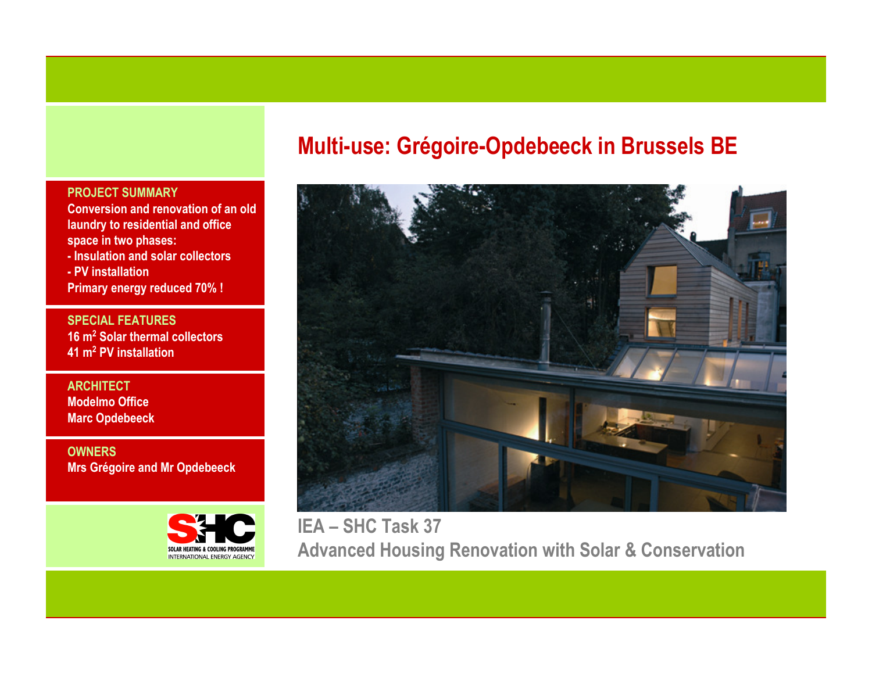#### PROJECT SUMMARY

 Conversion and renovation of an old laundry to residential and office space in two phases:

 - Insulation and solar collectors- PV installation

Primary energy reduced 70% !

SPECIAL FEATURES16 m<sup>2</sup> Solar thermal collectors 41 m<sup>2</sup> PV installation

**ARCHITECT**  Modelmo OfficeMarc Opdebeeck

**OWNERS** Mrs Grégoire and Mr Opdebeeck



# Multi-use: Grégoire-Opdebeeck in Brussels BE



IEA – SHC Task 37 Advanced Housing Renovation with Solar & Conservation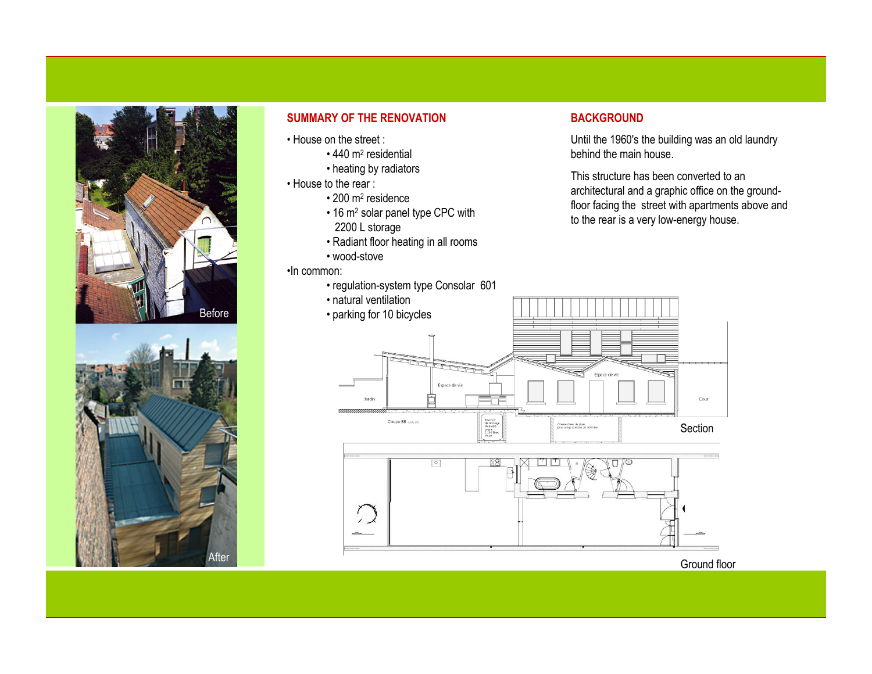



#### SUMMARY OF THE RENOVATION

- House on the street :
	- 440 m<sup>2</sup> residential
	- heating by radiators
- House to the rear :
	- 200 m<sup>2</sup> residence
	- 16 m<sup>2</sup> solar panel type CPC with 2200 L storage
	- Radiant floor heating in all rooms
	- wood-stove

•In common:

- regulation-system type Consolar 601
- natural ventilation
- parking for 10 bicycles

#### **BACKGROUND**

Until the 1960's the building was an old laundry behind the main house.

This structure has been converted to an architectural and a graphic office on the groundfloor facing the street with apartments above and to the rear is a very low-energy house.





Ground floor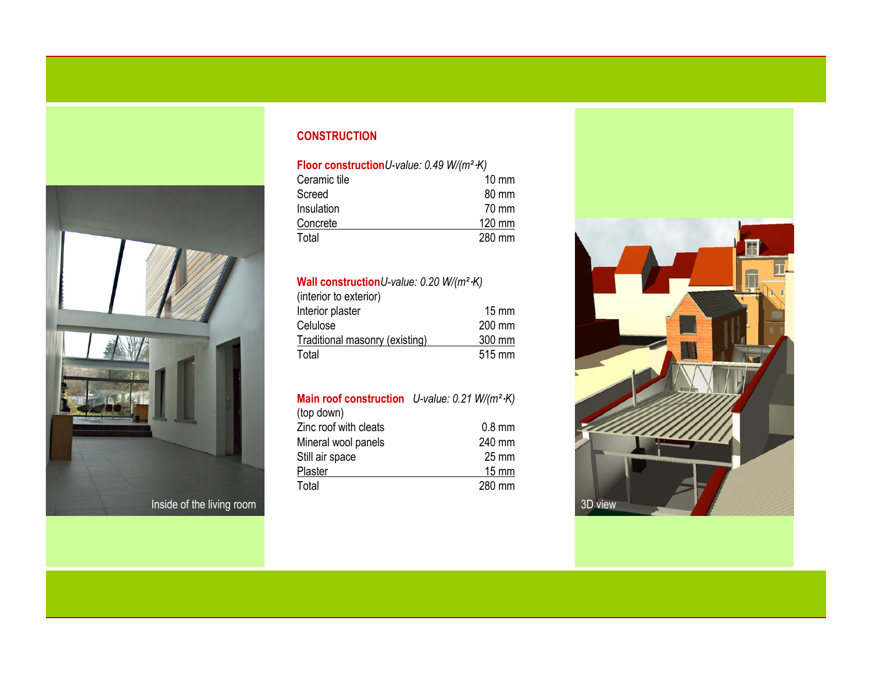

# **CONSTRUCTION**

#### Floor constructionU-value: 0.49 W/(m<sup>2</sup>·K)

| Ceramic tile | $10 \text{ mm}$  |
|--------------|------------------|
| Screed       | 80 mm            |
| Insulation   | 70 mm            |
| Concrete     | $120 \text{ mm}$ |
| Total        | 280 mm           |

### Wall constructionU-value: 0.20 W/(m<sup>2</sup>·K)

| (interior to exterior)         |                 |
|--------------------------------|-----------------|
| Interior plaster               | $15 \text{ mm}$ |
| Celulose                       | 200 mm          |
| Traditional masonry (existing) | 300 mm          |
| Total                          | 515 mm          |

# **Main roof construction** U-value: 0.21 W/(m<sup>2</sup>·K)

| (top down)            |                 |
|-----------------------|-----------------|
| Zinc roof with cleats | $0.8$ mm        |
| Mineral wool panels   | 240 mm          |
| Still air space       | $25 \text{ mm}$ |
| Plaster               | 15 mm           |
| Total                 | 280 mm          |